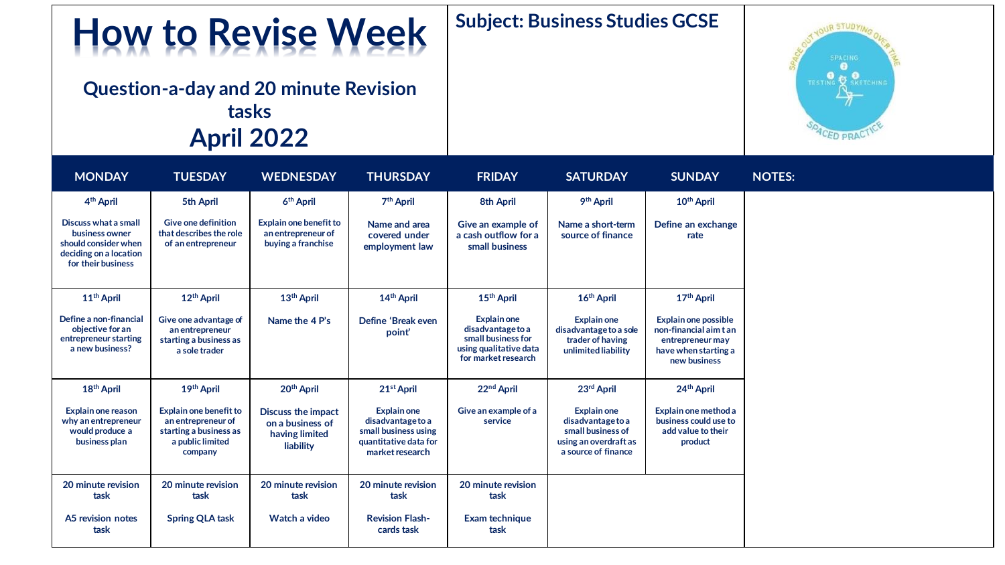## **How to Revise Week**

**Question-a-day and 20 minute Revision tasks April 2022**

## **Subject: Business Studies GCSE**



| <b>MONDAY</b>                                                                                                  | <b>TUESDAY</b>                                                                                               | <b>WEDNESDAY</b>                                                             | <b>THURSDAY</b>                                                                                      | <b>FRIDAY</b>                                                                                           | <b>SATURDAY</b>                                                                                              | <b>SUNDAY</b>                                                                                                     |
|----------------------------------------------------------------------------------------------------------------|--------------------------------------------------------------------------------------------------------------|------------------------------------------------------------------------------|------------------------------------------------------------------------------------------------------|---------------------------------------------------------------------------------------------------------|--------------------------------------------------------------------------------------------------------------|-------------------------------------------------------------------------------------------------------------------|
| 4 <sup>th</sup> April                                                                                          | 5th April                                                                                                    | 6 <sup>th</sup> April                                                        | 7 <sup>th</sup> April                                                                                | 8th April                                                                                               | 9 <sup>th</sup> April                                                                                        | 10 <sup>th</sup> April                                                                                            |
| Discuss what a small<br>business owner<br>should consider when<br>deciding on a location<br>for their business | <b>Give one definition</b><br>that describes the role<br>of an entrepreneur                                  | <b>Explain one benefit to</b><br>an entrepreneur of<br>buying a franchise    | Name and area<br>covered under<br>employment law                                                     | Give an example of<br>a cash outflow for a<br>small business                                            | Name a short-term<br>source of finance                                                                       | Define an exchange<br>rate                                                                                        |
| 11 <sup>th</sup> April                                                                                         | 12 <sup>th</sup> April                                                                                       | 13 <sup>th</sup> April                                                       | 14 <sup>th</sup> April                                                                               | 15 <sup>th</sup> April                                                                                  | 16 <sup>th</sup> April                                                                                       | 17th April                                                                                                        |
| Define a non-financial<br>objective for an<br>entrepreneur starting<br>a new business?                         | Give one advantage of<br>an entrepreneur<br>starting a business as<br>a sole trader                          | Name the 4 P's                                                               | Define 'Break even<br>point'                                                                         | Explain one<br>disadvantage to a<br>small business for<br>using qualitative data<br>for market research | <b>Explain one</b><br>disadvantage to a sole<br>trader of having<br>unlimited liability                      | <b>Explain one possible</b><br>non-financial aim t an<br>entrepreneur may<br>have when starting a<br>new business |
| 18 <sup>th</sup> April                                                                                         | 19th April                                                                                                   | 20 <sup>th</sup> April                                                       | 21st April                                                                                           | 22nd April                                                                                              | 23rd April                                                                                                   | 24 <sup>th</sup> April                                                                                            |
| Explain one reason<br>why an entrepreneur<br>would produce a<br>business plan                                  | <b>Explain one benefit to</b><br>an entrepreneur of<br>starting a business as<br>a public limited<br>company | <b>Discuss the impact</b><br>on a business of<br>having limited<br>liability | Explain one<br>disadvantage to a<br>small business using<br>quantitative data for<br>market research | Give an example of a<br>service                                                                         | <b>Explain one</b><br>disadvantage to a<br>small business of<br>using an overdraft as<br>a source of finance | Explain one method a<br>business could use to<br>add value to their<br>product                                    |
| 20 minute revision<br>task                                                                                     | 20 minute revision<br>task                                                                                   | 20 minute revision<br>task                                                   | 20 minute revision<br>task                                                                           | 20 minute revision<br>task                                                                              |                                                                                                              |                                                                                                                   |
| A5 revision notes<br>task                                                                                      | <b>Spring QLA task</b>                                                                                       | Watch a video                                                                | <b>Revision Flash-</b><br>cards task                                                                 | Exam technique<br>task                                                                                  |                                                                                                              |                                                                                                                   |